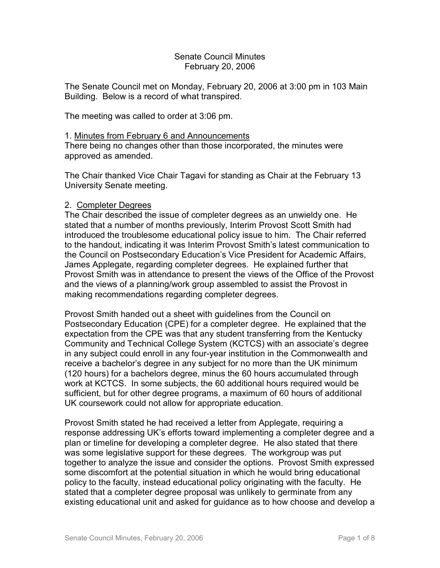## Senate Council Minutes February 20, 2006

The Senate Council met on Monday, February 20, 2006 at 3:00 pm in 103 Main Building. Below is a record of what transpired.

The meeting was called to order at 3:06 pm.

## 1. Minutes from February 6 and Announcements

There being no changes other than those incorporated, the minutes were approved as amended.

The Chair thanked Vice Chair Tagavi for standing as Chair at the February 13 University Senate meeting.

## 2. Completer Degrees

The Chair described the issue of completer degrees as an unwieldy one. He stated that a number of months previously, Interim Provost Scott Smith had introduced the troublesome educational policy issue to him. The Chair referred to the handout, indicating it was Interim Provost Smith's latest communication to the Council on Postsecondary Education's Vice President for Academic Affairs, James Applegate, regarding completer degrees. He explained further that Provost Smith was in attendance to present the views of the Office of the Provost and the views of a planning/work group assembled to assist the Provost in making recommendations regarding completer degrees.

Provost Smith handed out a sheet with guidelines from the Council on Postsecondary Education (CPE) for a completer degree. He explained that the expectation from the CPE was that any student transferring from the Kentucky Community and Technical College System (KCTCS) with an associate's degree in any subject could enroll in any four-year institution in the Commonwealth and receive a bachelor's degree in any subject for no more than the UK minimum (120 hours) for a bachelors degree, minus the 60 hours accumulated through work at KCTCS. In some subjects, the 60 additional hours required would be sufficient, but for other degree programs, a maximum of 60 hours of additional UK coursework could not allow for appropriate education.

Provost Smith stated he had received a letter from Applegate, requiring a response addressing UK's efforts toward implementing a completer degree and a plan or timeline for developing a completer degree. He also stated that there was some legislative support for these degrees. The workgroup was put together to analyze the issue and consider the options. Provost Smith expressed some discomfort at the potential situation in which he would bring educational policy to the faculty, instead educational policy originating with the faculty. He stated that a completer degree proposal was unlikely to germinate from any existing educational unit and asked for guidance as to how choose and develop a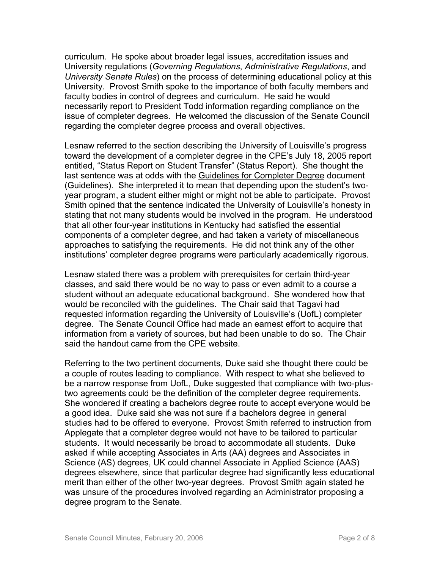curriculum. He spoke about broader legal issues, accreditation issues and University regulations (*Governing Regulations*, *Administrative Regulations*, and *University Senate Rules*) on the process of determining educational policy at this University. Provost Smith spoke to the importance of both faculty members and faculty bodies in control of degrees and curriculum. He said he would necessarily report to President Todd information regarding compliance on the issue of completer degrees. He welcomed the discussion of the Senate Council regarding the completer degree process and overall objectives.

Lesnaw referred to the section describing the University of Louisville's progress toward the development of a completer degree in the CPE's July 18, 2005 report entitled, "Status Report on Student Transfer" (Status Report). She thought the last sentence was at odds with the Guidelines for Completer Degree document (Guidelines). She interpreted it to mean that depending upon the student's twoyear program, a student either might or might not be able to participate. Provost Smith opined that the sentence indicated the University of Louisville's honesty in stating that not many students would be involved in the program. He understood that all other four-year institutions in Kentucky had satisfied the essential components of a completer degree, and had taken a variety of miscellaneous approaches to satisfying the requirements. He did not think any of the other institutions' completer degree programs were particularly academically rigorous.

Lesnaw stated there was a problem with prerequisites for certain third-year classes, and said there would be no way to pass or even admit to a course a student without an adequate educational background. She wondered how that would be reconciled with the guidelines. The Chair said that Tagavi had requested information regarding the University of Louisville's (UofL) completer degree. The Senate Council Office had made an earnest effort to acquire that information from a variety of sources, but had been unable to do so. The Chair said the handout came from the CPE website.

Referring to the two pertinent documents, Duke said she thought there could be a couple of routes leading to compliance. With respect to what she believed to be a narrow response from UofL, Duke suggested that compliance with two-plustwo agreements could be the definition of the completer degree requirements. She wondered if creating a bachelors degree route to accept everyone would be a good idea. Duke said she was not sure if a bachelors degree in general studies had to be offered to everyone. Provost Smith referred to instruction from Applegate that a completer degree would not have to be tailored to particular students. It would necessarily be broad to accommodate all students. Duke asked if while accepting Associates in Arts (AA) degrees and Associates in Science (AS) degrees, UK could channel Associate in Applied Science (AAS) degrees elsewhere, since that particular degree had significantly less educational merit than either of the other two-year degrees. Provost Smith again stated he was unsure of the procedures involved regarding an Administrator proposing a degree program to the Senate.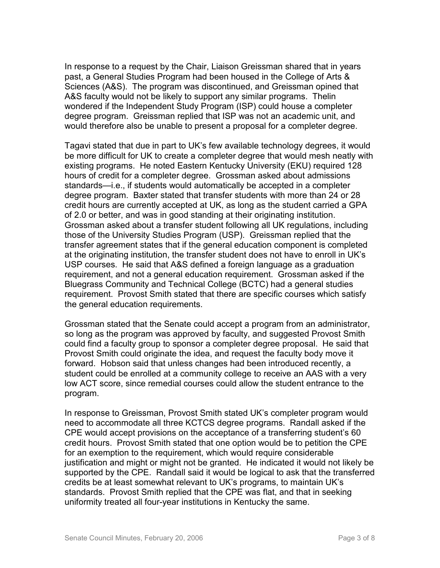In response to a request by the Chair, Liaison Greissman shared that in years past, a General Studies Program had been housed in the College of Arts & Sciences (A&S). The program was discontinued, and Greissman opined that A&S faculty would not be likely to support any similar programs. Thelin wondered if the Independent Study Program (ISP) could house a completer degree program. Greissman replied that ISP was not an academic unit, and would therefore also be unable to present a proposal for a completer degree.

Tagavi stated that due in part to UK's few available technology degrees, it would be more difficult for UK to create a completer degree that would mesh neatly with existing programs. He noted Eastern Kentucky University (EKU) required 128 hours of credit for a completer degree. Grossman asked about admissions standards—i.e., if students would automatically be accepted in a completer degree program. Baxter stated that transfer students with more than 24 or 28 credit hours are currently accepted at UK, as long as the student carried a GPA of 2.0 or better, and was in good standing at their originating institution. Grossman asked about a transfer student following all UK regulations, including those of the University Studies Program (USP). Greissman replied that the transfer agreement states that if the general education component is completed at the originating institution, the transfer student does not have to enroll in UK's USP courses. He said that A&S defined a foreign language as a graduation requirement, and not a general education requirement. Grossman asked if the Bluegrass Community and Technical College (BCTC) had a general studies requirement. Provost Smith stated that there are specific courses which satisfy the general education requirements.

Grossman stated that the Senate could accept a program from an administrator, so long as the program was approved by faculty, and suggested Provost Smith could find a faculty group to sponsor a completer degree proposal. He said that Provost Smith could originate the idea, and request the faculty body move it forward. Hobson said that unless changes had been introduced recently, a student could be enrolled at a community college to receive an AAS with a very low ACT score, since remedial courses could allow the student entrance to the program.

In response to Greissman, Provost Smith stated UK's completer program would need to accommodate all three KCTCS degree programs. Randall asked if the CPE would accept provisions on the acceptance of a transferring student's 60 credit hours. Provost Smith stated that one option would be to petition the CPE for an exemption to the requirement, which would require considerable justification and might or might not be granted. He indicated it would not likely be supported by the CPE. Randall said it would be logical to ask that the transferred credits be at least somewhat relevant to UK's programs, to maintain UK's standards. Provost Smith replied that the CPE was flat, and that in seeking uniformity treated all four-year institutions in Kentucky the same.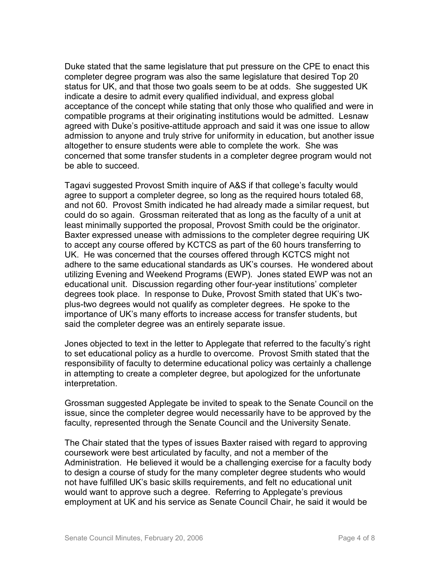Duke stated that the same legislature that put pressure on the CPE to enact this completer degree program was also the same legislature that desired Top 20 status for UK, and that those two goals seem to be at odds. She suggested UK indicate a desire to admit every qualified individual, and express global acceptance of the concept while stating that only those who qualified and were in compatible programs at their originating institutions would be admitted. Lesnaw agreed with Duke's positive-attitude approach and said it was one issue to allow admission to anyone and truly strive for uniformity in education, but another issue altogether to ensure students were able to complete the work. She was concerned that some transfer students in a completer degree program would not be able to succeed.

Tagavi suggested Provost Smith inquire of A&S if that college's faculty would agree to support a completer degree, so long as the required hours totaled 68, and not 60. Provost Smith indicated he had already made a similar request, but could do so again. Grossman reiterated that as long as the faculty of a unit at least minimally supported the proposal, Provost Smith could be the originator. Baxter expressed unease with admissions to the completer degree requiring UK to accept any course offered by KCTCS as part of the 60 hours transferring to UK. He was concerned that the courses offered through KCTCS might not adhere to the same educational standards as UK's courses. He wondered about utilizing Evening and Weekend Programs (EWP). Jones stated EWP was not an educational unit. Discussion regarding other four-year institutions' completer degrees took place. In response to Duke, Provost Smith stated that UK's twoplus-two degrees would not qualify as completer degrees. He spoke to the importance of UK's many efforts to increase access for transfer students, but said the completer degree was an entirely separate issue.

Jones objected to text in the letter to Applegate that referred to the faculty's right to set educational policy as a hurdle to overcome. Provost Smith stated that the responsibility of faculty to determine educational policy was certainly a challenge in attempting to create a completer degree, but apologized for the unfortunate interpretation.

Grossman suggested Applegate be invited to speak to the Senate Council on the issue, since the completer degree would necessarily have to be approved by the faculty, represented through the Senate Council and the University Senate.

The Chair stated that the types of issues Baxter raised with regard to approving coursework were best articulated by faculty, and not a member of the Administration. He believed it would be a challenging exercise for a faculty body to design a course of study for the many completer degree students who would not have fulfilled UK's basic skills requirements, and felt no educational unit would want to approve such a degree. Referring to Applegate's previous employment at UK and his service as Senate Council Chair, he said it would be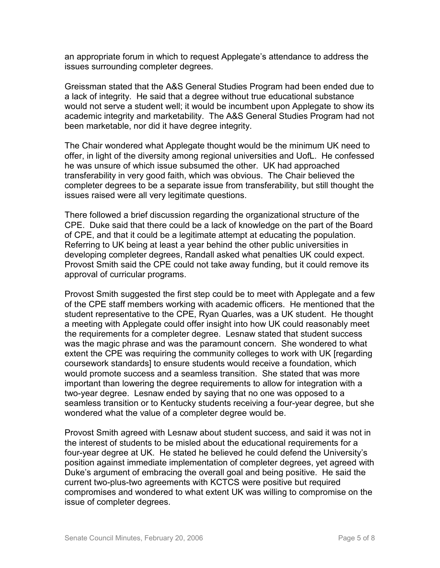an appropriate forum in which to request Applegate's attendance to address the issues surrounding completer degrees.

Greissman stated that the A&S General Studies Program had been ended due to a lack of integrity. He said that a degree without true educational substance would not serve a student well; it would be incumbent upon Applegate to show its academic integrity and marketability. The A&S General Studies Program had not been marketable, nor did it have degree integrity.

The Chair wondered what Applegate thought would be the minimum UK need to offer, in light of the diversity among regional universities and UofL. He confessed he was unsure of which issue subsumed the other. UK had approached transferability in very good faith, which was obvious. The Chair believed the completer degrees to be a separate issue from transferability, but still thought the issues raised were all very legitimate questions.

There followed a brief discussion regarding the organizational structure of the CPE. Duke said that there could be a lack of knowledge on the part of the Board of CPE, and that it could be a legitimate attempt at educating the population. Referring to UK being at least a year behind the other public universities in developing completer degrees, Randall asked what penalties UK could expect. Provost Smith said the CPE could not take away funding, but it could remove its approval of curricular programs.

Provost Smith suggested the first step could be to meet with Applegate and a few of the CPE staff members working with academic officers. He mentioned that the student representative to the CPE, Ryan Quarles, was a UK student. He thought a meeting with Applegate could offer insight into how UK could reasonably meet the requirements for a completer degree. Lesnaw stated that student success was the magic phrase and was the paramount concern. She wondered to what extent the CPE was requiring the community colleges to work with UK [regarding coursework standards] to ensure students would receive a foundation, which would promote success and a seamless transition. She stated that was more important than lowering the degree requirements to allow for integration with a two-year degree. Lesnaw ended by saying that no one was opposed to a seamless transition or to Kentucky students receiving a four-year degree, but she wondered what the value of a completer degree would be.

Provost Smith agreed with Lesnaw about student success, and said it was not in the interest of students to be misled about the educational requirements for a four-year degree at UK. He stated he believed he could defend the University's position against immediate implementation of completer degrees, yet agreed with Duke's argument of embracing the overall goal and being positive. He said the current two-plus-two agreements with KCTCS were positive but required compromises and wondered to what extent UK was willing to compromise on the issue of completer degrees.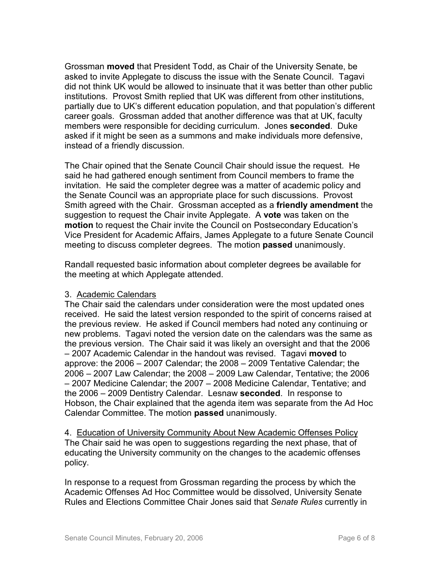Grossman **moved** that President Todd, as Chair of the University Senate, be asked to invite Applegate to discuss the issue with the Senate Council. Tagavi did not think UK would be allowed to insinuate that it was better than other public institutions. Provost Smith replied that UK was different from other institutions, partially due to UK's different education population, and that population's different career goals. Grossman added that another difference was that at UK, faculty members were responsible for deciding curriculum. Jones **seconded**. Duke asked if it might be seen as a summons and make individuals more defensive, instead of a friendly discussion.

The Chair opined that the Senate Council Chair should issue the request. He said he had gathered enough sentiment from Council members to frame the invitation. He said the completer degree was a matter of academic policy and the Senate Council was an appropriate place for such discussions. Provost Smith agreed with the Chair. Grossman accepted as a **friendly amendment** the suggestion to request the Chair invite Applegate. A **vote** was taken on the **motion** to request the Chair invite the Council on Postsecondary Education's Vice President for Academic Affairs, James Applegate to a future Senate Council meeting to discuss completer degrees. The motion **passed** unanimously.

Randall requested basic information about completer degrees be available for the meeting at which Applegate attended.

## 3. Academic Calendars

The Chair said the calendars under consideration were the most updated ones received. He said the latest version responded to the spirit of concerns raised at the previous review. He asked if Council members had noted any continuing or new problems. Tagavi noted the version date on the calendars was the same as the previous version. The Chair said it was likely an oversight and that the 2006 – 2007 Academic Calendar in the handout was revised. Tagavi **moved** to approve: the 2006 – 2007 Calendar; the 2008 – 2009 Tentative Calendar; the 2006 – 2007 Law Calendar; the 2008 – 2009 Law Calendar, Tentative; the 2006 – 2007 Medicine Calendar; the 2007 – 2008 Medicine Calendar, Tentative; and the 2006 – 2009 Dentistry Calendar. Lesnaw **seconded**. In response to Hobson, the Chair explained that the agenda item was separate from the Ad Hoc Calendar Committee. The motion **passed** unanimously.

4. Education of University Community About New Academic Offenses Policy The Chair said he was open to suggestions regarding the next phase, that of educating the University community on the changes to the academic offenses policy.

In response to a request from Grossman regarding the process by which the Academic Offenses Ad Hoc Committee would be dissolved, University Senate Rules and Elections Committee Chair Jones said that *Senate Rules* currently in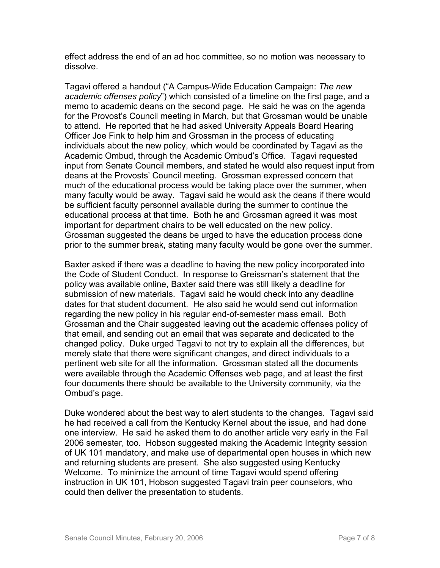effect address the end of an ad hoc committee, so no motion was necessary to dissolve.

Tagavi offered a handout ("A Campus-Wide Education Campaign: *The new academic offenses policy*") which consisted of a timeline on the first page, and a memo to academic deans on the second page. He said he was on the agenda for the Provost's Council meeting in March, but that Grossman would be unable to attend. He reported that he had asked University Appeals Board Hearing Officer Joe Fink to help him and Grossman in the process of educating individuals about the new policy, which would be coordinated by Tagavi as the Academic Ombud, through the Academic Ombud's Office. Tagavi requested input from Senate Council members, and stated he would also request input from deans at the Provosts' Council meeting. Grossman expressed concern that much of the educational process would be taking place over the summer, when many faculty would be away. Tagavi said he would ask the deans if there would be sufficient faculty personnel available during the summer to continue the educational process at that time. Both he and Grossman agreed it was most important for department chairs to be well educated on the new policy. Grossman suggested the deans be urged to have the education process done prior to the summer break, stating many faculty would be gone over the summer.

Baxter asked if there was a deadline to having the new policy incorporated into the Code of Student Conduct. In response to Greissman's statement that the policy was available online, Baxter said there was still likely a deadline for submission of new materials. Tagavi said he would check into any deadline dates for that student document. He also said he would send out information regarding the new policy in his regular end-of-semester mass email. Both Grossman and the Chair suggested leaving out the academic offenses policy of that email, and sending out an email that was separate and dedicated to the changed policy. Duke urged Tagavi to not try to explain all the differences, but merely state that there were significant changes, and direct individuals to a pertinent web site for all the information. Grossman stated all the documents were available through the Academic Offenses web page, and at least the first four documents there should be available to the University community, via the Ombud's page.

Duke wondered about the best way to alert students to the changes. Tagavi said he had received a call from the Kentucky Kernel about the issue, and had done one interview. He said he asked them to do another article very early in the Fall 2006 semester, too. Hobson suggested making the Academic Integrity session of UK 101 mandatory, and make use of departmental open houses in which new and returning students are present. She also suggested using Kentucky Welcome. To minimize the amount of time Tagavi would spend offering instruction in UK 101, Hobson suggested Tagavi train peer counselors, who could then deliver the presentation to students.